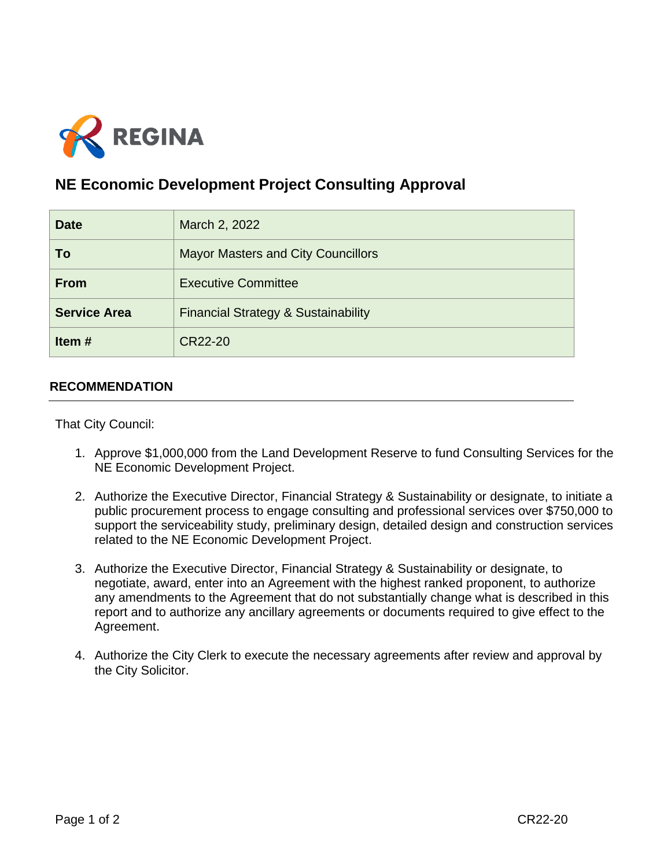

## **NE Economic Development Project Consulting Approval**

| <b>Date</b>         | March 2, 2022                                  |
|---------------------|------------------------------------------------|
| To                  | <b>Mayor Masters and City Councillors</b>      |
| <b>From</b>         | <b>Executive Committee</b>                     |
| <b>Service Area</b> | <b>Financial Strategy &amp; Sustainability</b> |
| Item $#$            | CR22-20                                        |

## **RECOMMENDATION**

That City Council:

- 1. Approve \$1,000,000 from the Land Development Reserve to fund Consulting Services for the NE Economic Development Project.
- 2. Authorize the Executive Director, Financial Strategy & Sustainability or designate, to initiate a public procurement process to engage consulting and professional services over \$750,000 to support the serviceability study, preliminary design, detailed design and construction services related to the NE Economic Development Project.
- 3. Authorize the Executive Director, Financial Strategy & Sustainability or designate, to negotiate, award, enter into an Agreement with the highest ranked proponent, to authorize any amendments to the Agreement that do not substantially change what is described in this report and to authorize any ancillary agreements or documents required to give effect to the Agreement.
- 4. Authorize the City Clerk to execute the necessary agreements after review and approval by the City Solicitor.